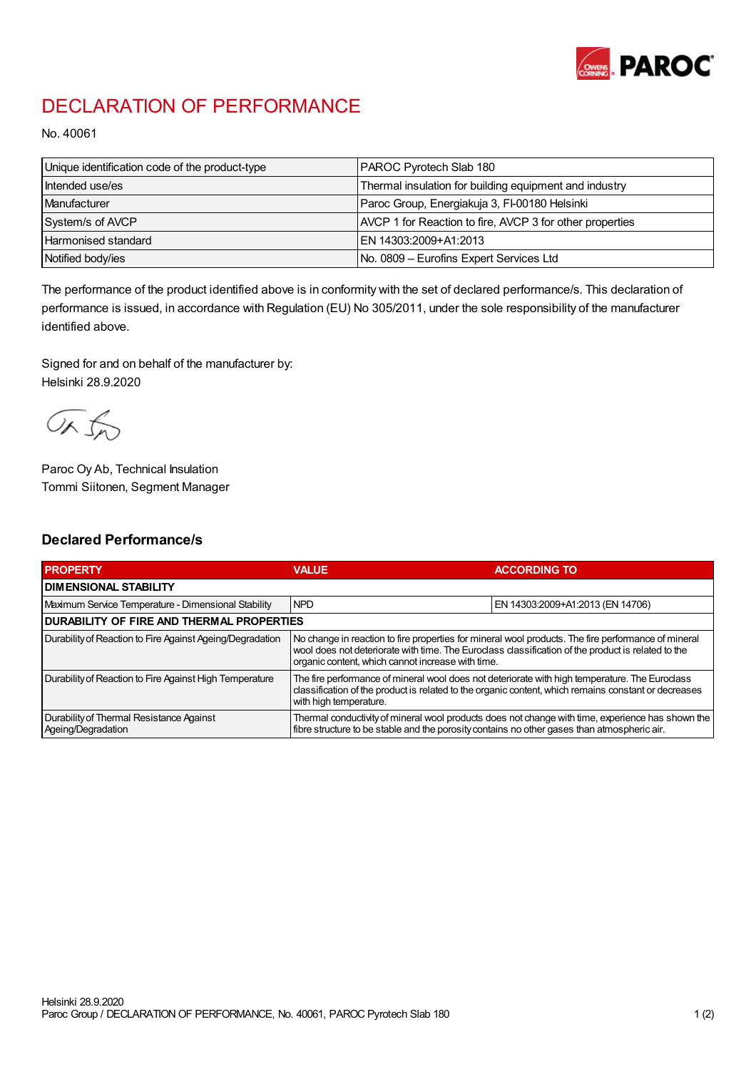

## DECLARATION OF PERFORMANCE

No. 40061

| Unique identification code of the product-type | PAROC Pyrotech Slab 180                                  |
|------------------------------------------------|----------------------------------------------------------|
| Intended use/es                                | Thermal insulation for building equipment and industry   |
| <b>Manufacturer</b>                            | Paroc Group, Energiakuja 3, FI-00180 Helsinki            |
| System/s of AVCP                               | AVCP 1 for Reaction to fire, AVCP 3 for other properties |
| <b>Harmonised standard</b>                     | EN 14303:2009+A1:2013                                    |
| Notified body/ies                              | No. 0809 – Eurofins Expert Services Ltd                  |

The performance of the product identified above is in conformity with the set of declared performance/s. This declaration of performance is issued, in accordance with Regulation (EU) No 305/2011, under the sole responsibility of the manufacturer identified above.

Signed for and on behalf of the manufacturer by: Helsinki 28.9.2020

ORJO

Paroc Oy Ab, Technical Insulation Tommi Siitonen, Segment Manager

## Declared Performance/s

| <b>PROPERTY</b>                                                | <b>VALUE</b>                                                                                                                                                                                                                                                   | <b>ACCORDING TO</b>              |  |
|----------------------------------------------------------------|----------------------------------------------------------------------------------------------------------------------------------------------------------------------------------------------------------------------------------------------------------------|----------------------------------|--|
| <b>I DIMENSIONAL STABILITY</b>                                 |                                                                                                                                                                                                                                                                |                                  |  |
| Maximum Service Temperature - Dimensional Stability            | <b>NPD</b>                                                                                                                                                                                                                                                     | EN 14303:2009+A1:2013 (EN 14706) |  |
| <b>DURABILITY OF FIRE AND THERMAL PROPERTIES</b>               |                                                                                                                                                                                                                                                                |                                  |  |
| Durability of Reaction to Fire Against Ageing/Degradation      | No change in reaction to fire properties for mineral wool products. The fire performance of mineral<br>wool does not deteriorate with time. The Euroclass classification of the product is related to the<br>organic content, which cannot increase with time. |                                  |  |
| Durability of Reaction to Fire Against High Temperature        | The fire performance of mineral wool does not deteriorate with high temperature. The Euroclass<br>classification of the product is related to the organic content, which remains constant or decreases<br>with high temperature.                               |                                  |  |
| Durability of Thermal Resistance Against<br>Ageing/Degradation | Thermal conductivity of mineral wool products does not change with time, experience has shown the<br>fibre structure to be stable and the porosity contains no other gases than atmospheric air.                                                               |                                  |  |